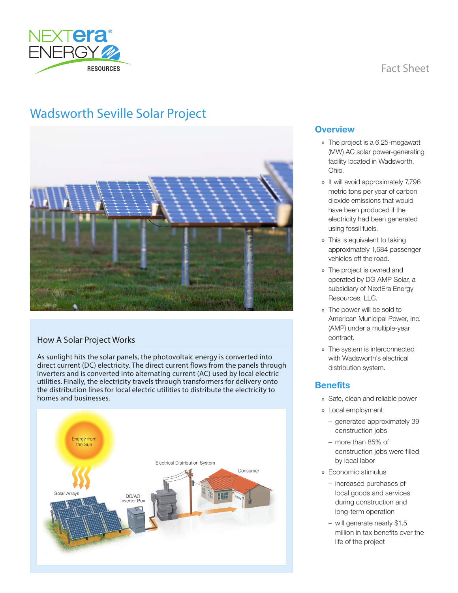

# Fact Sheet

# Wadsworth Seville Solar Project



## How A Solar Project Works

As sunlight hits the solar panels, the photovoltaic energy is converted into direct current (DC) electricity. The direct current flows from the panels through inverters and is converted into alternating current (AC) used by local electric utilities. Finally, the electricity travels through transformers for delivery onto the distribution lines for local electric utilities to distribute the electricity to homes and businesses.



#### **Overview**

- » The project is a 6.25-megawatt (MW) AC solar power-generating facility located in Wadsworth, Ohio.
- » It will avoid approximately 7,796 metric tons per year of carbon dioxide emissions that would have been produced if the electricity had been generated using fossil fuels.
- » This is equivalent to taking approximately 1,684 passenger vehicles off the road.
- » The project is owned and operated by DG AMP Solar, a subsidiary of NextEra Energy Resources, LLC.
- » The power will be sold to American Municipal Power, Inc. (AMP) under a multiple-year contract.
- » The system is interconnected with Wadsworth's electrical distribution system.

## **Benefits**

- » Safe, clean and reliable power
- » Local employment
	- generated approximately 39 construction jobs
	- more than 85% of construction jobs were filled by local labor
- » Economic stimulus
	- increased purchases of local goods and services during construction and long-term operation
	- will generate nearly \$1.5 million in tax benefits over the life of the project